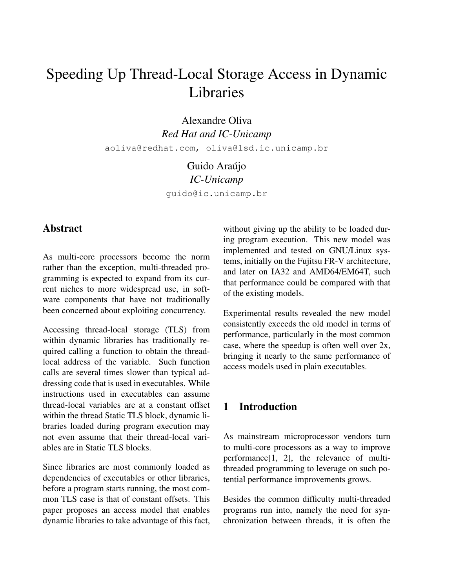# Speeding Up Thread-Local Storage Access in Dynamic Libraries

Alexandre Oliva *Red Hat and IC-Unicamp* aoliva@redhat.com, oliva@lsd.ic.unicamp.br

> Guido Araújo *IC-Unicamp* guido@ic.unicamp.br

## **Abstract**

As multi-core processors become the norm rather than the exception, multi-threaded programming is expected to expand from its current niches to more widespread use, in software components that have not traditionally been concerned about exploiting concurrency.

Accessing thread-local storage (TLS) from within dynamic libraries has traditionally required calling a function to obtain the threadlocal address of the variable. Such function calls are several times slower than typical addressing code that is used in executables. While instructions used in executables can assume thread-local variables are at a constant offset within the thread Static TLS block, dynamic libraries loaded during program execution may not even assume that their thread-local variables are in Static TLS blocks.

Since libraries are most commonly loaded as dependencies of executables or other libraries, before a program starts running, the most common TLS case is that of constant offsets. This paper proposes an access model that enables dynamic libraries to take advantage of this fact, without giving up the ability to be loaded during program execution. This new model was implemented and tested on GNU/Linux systems, initially on the Fujitsu FR-V architecture, and later on IA32 and AMD64/EM64T, such that performance could be compared with that of the existing models.

Experimental results revealed the new model consistently exceeds the old model in terms of performance, particularly in the most common case, where the speedup is often well over 2x, bringing it nearly to the same performance of access models used in plain executables.

## 1 Introduction

As mainstream microprocessor vendors turn to multi-core processors as a way to improve performance[1, 2], the relevance of multithreaded programming to leverage on such potential performance improvements grows.

Besides the common difficulty multi-threaded programs run into, namely the need for synchronization between threads, it is often the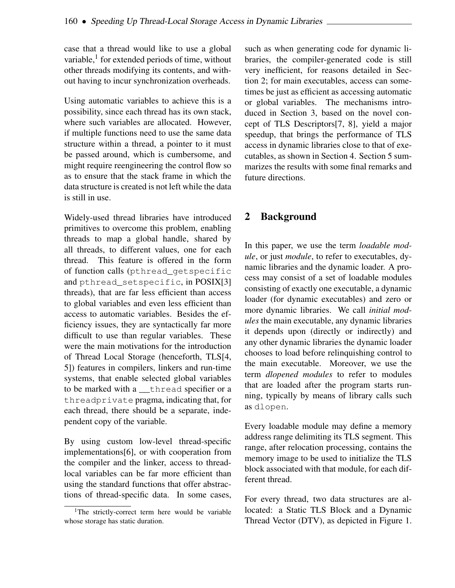case that a thread would like to use a global variable,<sup>1</sup> for extended periods of time, without other threads modifying its contents, and without having to incur synchronization overheads.

Using automatic variables to achieve this is a possibility, since each thread has its own stack, where such variables are allocated. However, if multiple functions need to use the same data structure within a thread, a pointer to it must be passed around, which is cumbersome, and might require reengineering the control flow so as to ensure that the stack frame in which the data structure is created is not left while the data is still in use.

Widely-used thread libraries have introduced primitives to overcome this problem, enabling threads to map a global handle, shared by all threads, to different values, one for each thread. This feature is offered in the form of function calls (pthread\_getspecific and pthread\_setspecific, in POSIX[3] threads), that are far less efficient than access to global variables and even less efficient than access to automatic variables. Besides the efficiency issues, they are syntactically far more difficult to use than regular variables. These were the main motivations for the introduction of Thread Local Storage (henceforth, TLS[4, 5]) features in compilers, linkers and run-time systems, that enable selected global variables to be marked with a thread specifier or a threadprivate pragma, indicating that, for each thread, there should be a separate, independent copy of the variable.

By using custom low-level thread-specific implementations[6], or with cooperation from the compiler and the linker, access to threadlocal variables can be far more efficient than using the standard functions that offer abstractions of thread-specific data. In some cases, such as when generating code for dynamic libraries, the compiler-generated code is still very inefficient, for reasons detailed in Section 2; for main executables, access can sometimes be just as efficient as accessing automatic or global variables. The mechanisms introduced in Section 3, based on the novel concept of TLS Descriptors[7, 8], yield a major speedup, that brings the performance of TLS access in dynamic libraries close to that of executables, as shown in Section 4. Section 5 summarizes the results with some final remarks and future directions.

## 2 Background

In this paper, we use the term *loadable module*, or just *module*, to refer to executables, dynamic libraries and the dynamic loader. A process may consist of a set of loadable modules consisting of exactly one executable, a dynamic loader (for dynamic executables) and zero or more dynamic libraries. We call *initial modules* the main executable, any dynamic libraries it depends upon (directly or indirectly) and any other dynamic libraries the dynamic loader chooses to load before relinquishing control to the main executable. Moreover, we use the term *dlopened modules* to refer to modules that are loaded after the program starts running, typically by means of library calls such as dlopen.

Every loadable module may define a memory address range delimiting its TLS segment. This range, after relocation processing, contains the memory image to be used to initialize the TLS block associated with that module, for each different thread.

For every thread, two data structures are allocated: a Static TLS Block and a Dynamic Thread Vector (DTV), as depicted in Figure 1.

<sup>&</sup>lt;sup>1</sup>The strictly-correct term here would be variable whose storage has static duration.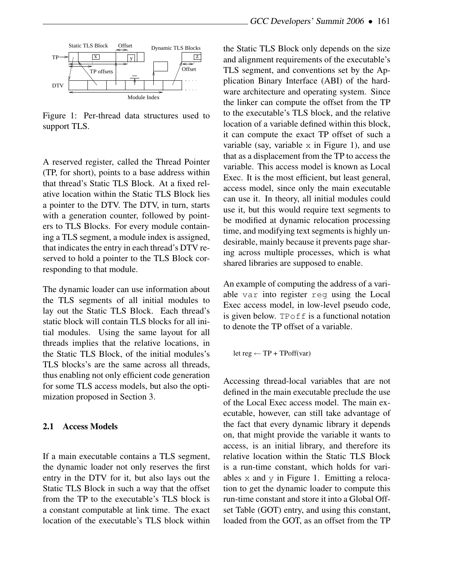

Figure 1: Per-thread data structures used to support TLS.

A reserved register, called the Thread Pointer (TP, for short), points to a base address within that thread's Static TLS Block. At a fixed relative location within the Static TLS Block lies a pointer to the DTV. The DTV, in turn, starts with a generation counter, followed by pointers to TLS Blocks. For every module containing a TLS segment, a module index is assigned, that indicates the entry in each thread's DTV reserved to hold a pointer to the TLS Block corresponding to that module.

The dynamic loader can use information about the TLS segments of all initial modules to lay out the Static TLS Block. Each thread's static block will contain TLS blocks for all initial modules. Using the same layout for all threads implies that the relative locations, in the Static TLS Block, of the initial modules's TLS blocks's are the same across all threads, thus enabling not only efficient code generation for some TLS access models, but also the optimization proposed in Section 3.

#### 2.1 Access Models

If a main executable contains a TLS segment, the dynamic loader not only reserves the first entry in the DTV for it, but also lays out the Static TLS Block in such a way that the offset from the TP to the executable's TLS block is a constant computable at link time. The exact location of the executable's TLS block within the Static TLS Block only depends on the size and alignment requirements of the executable's TLS segment, and conventions set by the Application Binary Interface (ABI) of the hardware architecture and operating system. Since the linker can compute the offset from the TP to the executable's TLS block, and the relative location of a variable defined within this block, it can compute the exact TP offset of such a variable (say, variable  $\times$  in Figure 1), and use that as a displacement from the TP to access the variable. This access model is known as Local Exec. It is the most efficient, but least general, access model, since only the main executable can use it. In theory, all initial modules could use it, but this would require text segments to be modified at dynamic relocation processing time, and modifying text segments is highly undesirable, mainly because it prevents page sharing across multiple processes, which is what shared libraries are supposed to enable.

An example of computing the address of a variable var into register reg using the Local Exec access model, in low-level pseudo code, is given below. TPoff is a functional notation to denote the TP offset of a variable.

let reg  $\leftarrow$  TP + TPoff(var)

Accessing thread-local variables that are not defined in the main executable preclude the use of the Local Exec access model. The main executable, however, can still take advantage of the fact that every dynamic library it depends on, that might provide the variable it wants to access, is an initial library, and therefore its relative location within the Static TLS Block is a run-time constant, which holds for variables  $x$  and  $y$  in Figure 1. Emitting a relocation to get the dynamic loader to compute this run-time constant and store it into a Global Offset Table (GOT) entry, and using this constant, loaded from the GOT, as an offset from the TP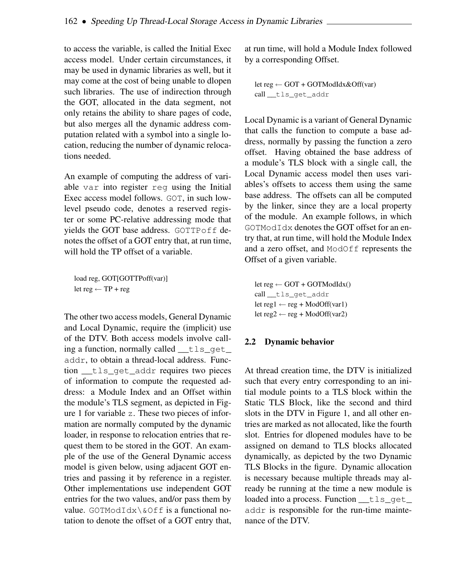to access the variable, is called the Initial Exec access model. Under certain circumstances, it may be used in dynamic libraries as well, but it may come at the cost of being unable to dlopen such libraries. The use of indirection through the GOT, allocated in the data segment, not only retains the ability to share pages of code, but also merges all the dynamic address computation related with a symbol into a single location, reducing the number of dynamic relocations needed.

An example of computing the address of variable var into register reg using the Initial Exec access model follows. GOT, in such lowlevel pseudo code, denotes a reserved register or some PC-relative addressing mode that yields the GOT base address. GOTTPoff denotes the offset of a GOT entry that, at run time, will hold the TP offset of a variable.

load reg, GOT[GOTTPoff(var)] let  $reg \leftarrow TP + reg$ 

The other two access models, General Dynamic and Local Dynamic, require the (implicit) use of the DTV. Both access models involve calling a function, normally called \_\_tls\_get\_ addr, to obtain a thread-local address. Function \_\_tls\_get\_addr requires two pieces of information to compute the requested address: a Module Index and an Offset within the module's TLS segment, as depicted in Figure 1 for variable z. These two pieces of information are normally computed by the dynamic loader, in response to relocation entries that request them to be stored in the GOT. An example of the use of the General Dynamic access model is given below, using adjacent GOT entries and passing it by reference in a register. Other implementations use independent GOT entries for the two values, and/or pass them by value. GOTModIdx\&Off is a functional notation to denote the offset of a GOT entry that, at run time, will hold a Module Index followed by a corresponding Offset.

```
let reg ← GOT + GOTModIdx&Off(var)
call __tls_get_addr
```
Local Dynamic is a variant of General Dynamic that calls the function to compute a base address, normally by passing the function a zero offset. Having obtained the base address of a module's TLS block with a single call, the Local Dynamic access model then uses variables's offsets to access them using the same base address. The offsets can all be computed by the linker, since they are a local property of the module. An example follows, in which GOTModIdx denotes the GOT offset for an entry that, at run time, will hold the Module Index and a zero offset, and ModOff represents the Offset of a given variable.

```
let reg \leftarrow GOT + GOTModIdx()
call __tls_get_addr
let reg1 \leftarrow reg + ModOff(var1)
let reg2 \leftarrow reg + ModOff(var2)
```
#### 2.2 Dynamic behavior

At thread creation time, the DTV is initialized such that every entry corresponding to an initial module points to a TLS block within the Static TLS Block, like the second and third slots in the DTV in Figure 1, and all other entries are marked as not allocated, like the fourth slot. Entries for dlopened modules have to be assigned on demand to TLS blocks allocated dynamically, as depicted by the two Dynamic TLS Blocks in the figure. Dynamic allocation is necessary because multiple threads may already be running at the time a new module is loaded into a process. Function \_\_tls\_qet\_ addr is responsible for the run-time maintenance of the DTV.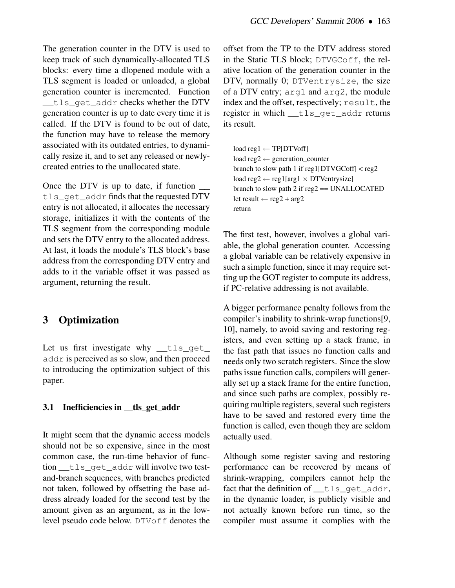The generation counter in the DTV is used to keep track of such dynamically-allocated TLS blocks: every time a dlopened module with a TLS segment is loaded or unloaded, a global generation counter is incremented. Function tls get addr checks whether the DTV generation counter is up to date every time it is called. If the DTV is found to be out of date, the function may have to release the memory associated with its outdated entries, to dynamically resize it, and to set any released or newlycreated entries to the unallocated state.

Once the DTV is up to date, if function \_\_ tls get addr finds that the requested DTV entry is not allocated, it allocates the necessary storage, initializes it with the contents of the TLS segment from the corresponding module and sets the DTV entry to the allocated address. At last, it loads the module's TLS block's base address from the corresponding DTV entry and adds to it the variable offset it was passed as argument, returning the result.

# 3 Optimization

Let us first investigate why  $tls$  get addr is perceived as so slow, and then proceed to introducing the optimization subject of this paper.

## 3.1 Inefficiencies in \_\_tls\_get\_addr

It might seem that the dynamic access models should not be so expensive, since in the most common case, the run-time behavior of function tls get addr will involve two testand-branch sequences, with branches predicted not taken, followed by offsetting the base address already loaded for the second test by the amount given as an argument, as in the lowlevel pseudo code below. DTVoff denotes the offset from the TP to the DTV address stored in the Static TLS block; DTVGCoff, the relative location of the generation counter in the DTV, normally 0; DTVentrysize, the size of a DTV entry; arg1 and arg2, the module index and the offset, respectively; result, the register in which tls get addr returns its result.

```
load reg1 \leftarrow TP[DTVoff]load reg2 ← generation_counter
branch to slow path 1 if reg1[DTVGCoff] < reg2
load reg2 ← reg1[arg1 \times DTVentrysize]
branch to slow path 2 if reg2 == UNALLOCATEDlet result \leftarrow reg2 + arg2
return
```
The first test, however, involves a global variable, the global generation counter. Accessing a global variable can be relatively expensive in such a simple function, since it may require setting up the GOT register to compute its address, if PC-relative addressing is not available.

A bigger performance penalty follows from the compiler's inability to shrink-wrap functions[9, 10], namely, to avoid saving and restoring registers, and even setting up a stack frame, in the fast path that issues no function calls and needs only two scratch registers. Since the slow paths issue function calls, compilers will generally set up a stack frame for the entire function, and since such paths are complex, possibly requiring multiple registers, several such registers have to be saved and restored every time the function is called, even though they are seldom actually used.

Although some register saving and restoring performance can be recovered by means of shrink-wrapping, compilers cannot help the fact that the definition of \_tls\_get\_addr, in the dynamic loader, is publicly visible and not actually known before run time, so the compiler must assume it complies with the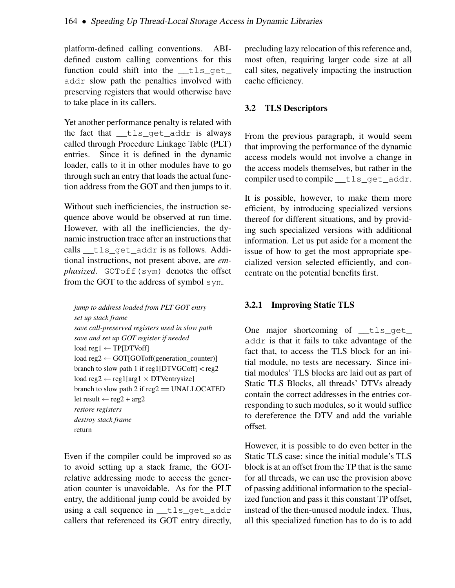platform-defined calling conventions. ABIdefined custom calling conventions for this function could shift into the tls get addr slow path the penalties involved with preserving registers that would otherwise have to take place in its callers.

Yet another performance penalty is related with the fact that \_\_tls\_get\_addr is always called through Procedure Linkage Table (PLT) entries. Since it is defined in the dynamic loader, calls to it in other modules have to go through such an entry that loads the actual function address from the GOT and then jumps to it.

Without such inefficiencies, the instruction sequence above would be observed at run time. However, with all the inefficiencies, the dynamic instruction trace after an instructions that calls tls get addr is as follows. Additional instructions, not present above, are *emphasized.* GOToff(sym) denotes the offset from the GOT to the address of symbol sym.

```
jump to address loaded from PLT GOT entry
set up stack frame
save call-preserved registers used in slow path
save and set up GOT register if needed
load reg1 ← TP[DTVoff]
load reg2 ← GOT[GOToff(generation_counter)]
branch to slow path 1 if reg1[DTVGCoff] < reg2load reg2 \leftarrow reg1[arg1 \times DTVentrysize]
branch to slow path 2 if reg2 == UNALLOCATED
let result \leftarrow reg2 + arg2
restore registers
destroy stack frame
return
```
Even if the compiler could be improved so as to avoid setting up a stack frame, the GOTrelative addressing mode to access the generation counter is unavoidable. As for the PLT entry, the additional jump could be avoided by using a call sequence in \_\_tls\_get\_addr callers that referenced its GOT entry directly, precluding lazy relocation of this reference and, most often, requiring larger code size at all call sites, negatively impacting the instruction cache efficiency.

#### 3.2 TLS Descriptors

From the previous paragraph, it would seem that improving the performance of the dynamic access models would not involve a change in the access models themselves, but rather in the compiler used to compile the get addr.

It is possible, however, to make them more efficient, by introducing specialized versions thereof for different situations, and by providing such specialized versions with additional information. Let us put aside for a moment the issue of how to get the most appropriate specialized version selected efficiently, and concentrate on the potential benefits first.

#### 3.2.1 Improving Static TLS

One major shortcoming of  $_{\text{tls\_get\_}}$ addr is that it fails to take advantage of the fact that, to access the TLS block for an initial module, no tests are necessary. Since initial modules' TLS blocks are laid out as part of Static TLS Blocks, all threads' DTVs already contain the correct addresses in the entries corresponding to such modules, so it would suffice to dereference the DTV and add the variable offset.

However, it is possible to do even better in the Static TLS case: since the initial module's TLS block is at an offset from the TP that is the same for all threads, we can use the provision above of passing additional information to the specialized function and pass it this constant TP offset, instead of the then-unused module index. Thus, all this specialized function has to do is to add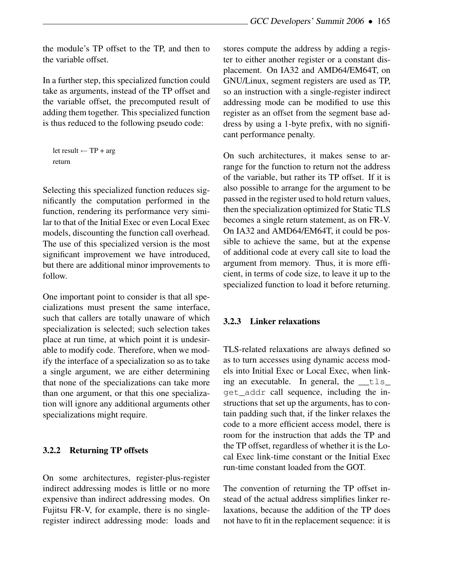the module's TP offset to the TP, and then to the variable offset.

In a further step, this specialized function could take as arguments, instead of the TP offset and the variable offset, the precomputed result of adding them together. This specialized function is thus reduced to the following pseudo code:

```
let result \leftarrow TP + argreturn
```
Selecting this specialized function reduces significantly the computation performed in the function, rendering its performance very similar to that of the Initial Exec or even Local Exec models, discounting the function call overhead. The use of this specialized version is the most significant improvement we have introduced, but there are additional minor improvements to follow.

One important point to consider is that all specializations must present the same interface, such that callers are totally unaware of which specialization is selected; such selection takes place at run time, at which point it is undesirable to modify code. Therefore, when we modify the interface of a specialization so as to take a single argument, we are either determining that none of the specializations can take more than one argument, or that this one specialization will ignore any additional arguments other specializations might require.

#### 3.2.2 Returning TP offsets

On some architectures, register-plus-register indirect addressing modes is little or no more expensive than indirect addressing modes. On Fujitsu FR-V, for example, there is no singleregister indirect addressing mode: loads and stores compute the address by adding a register to either another register or a constant displacement. On IA32 and AMD64/EM64T, on GNU/Linux, segment registers are used as TP, so an instruction with a single-register indirect addressing mode can be modified to use this register as an offset from the segment base address by using a 1-byte prefix, with no significant performance penalty.

On such architectures, it makes sense to arrange for the function to return not the address of the variable, but rather its TP offset. If it is also possible to arrange for the argument to be passed in the register used to hold return values, then the specialization optimized for Static TLS becomes a single return statement, as on FR-V. On IA32 and AMD64/EM64T, it could be possible to achieve the same, but at the expense of additional code at every call site to load the argument from memory. Thus, it is more efficient, in terms of code size, to leave it up to the specialized function to load it before returning.

#### 3.2.3 Linker relaxations

TLS-related relaxations are always defined so as to turn accesses using dynamic access models into Initial Exec or Local Exec, when linking an executable. In general, the  $_t$  tls get\_addr call sequence, including the instructions that set up the arguments, has to contain padding such that, if the linker relaxes the code to a more efficient access model, there is room for the instruction that adds the TP and the TP offset, regardless of whether it is the Local Exec link-time constant or the Initial Exec run-time constant loaded from the GOT.

The convention of returning the TP offset instead of the actual address simplifies linker relaxations, because the addition of the TP does not have to fit in the replacement sequence: it is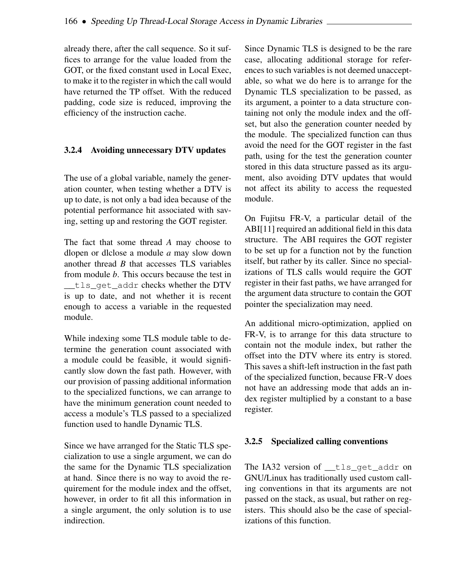already there, after the call sequence. So it suffices to arrange for the value loaded from the GOT, or the fixed constant used in Local Exec, to make it to the register in which the call would have returned the TP offset. With the reduced padding, code size is reduced, improving the efficiency of the instruction cache.

#### 3.2.4 Avoiding unnecessary DTV updates

The use of a global variable, namely the generation counter, when testing whether a DTV is up to date, is not only a bad idea because of the potential performance hit associated with saving, setting up and restoring the GOT register.

The fact that some thread *A* may choose to dlopen or dlclose a module *a* may slow down another thread *B* that accesses TLS variables from module *b*. This occurs because the test in \_\_tls\_get\_addr checks whether the DTV is up to date, and not whether it is recent enough to access a variable in the requested module.

While indexing some TLS module table to determine the generation count associated with a module could be feasible, it would significantly slow down the fast path. However, with our provision of passing additional information to the specialized functions, we can arrange to have the minimum generation count needed to access a module's TLS passed to a specialized function used to handle Dynamic TLS.

Since we have arranged for the Static TLS specialization to use a single argument, we can do the same for the Dynamic TLS specialization at hand. Since there is no way to avoid the requirement for the module index and the offset, however, in order to fit all this information in a single argument, the only solution is to use indirection.

Since Dynamic TLS is designed to be the rare case, allocating additional storage for references to such variables is not deemed unacceptable, so what we do here is to arrange for the Dynamic TLS specialization to be passed, as its argument, a pointer to a data structure containing not only the module index and the offset, but also the generation counter needed by the module. The specialized function can thus avoid the need for the GOT register in the fast path, using for the test the generation counter stored in this data structure passed as its argument, also avoiding DTV updates that would not affect its ability to access the requested module.

On Fujitsu FR-V, a particular detail of the ABI[11] required an additional field in this data structure. The ABI requires the GOT register to be set up for a function not by the function itself, but rather by its caller. Since no specializations of TLS calls would require the GOT register in their fast paths, we have arranged for the argument data structure to contain the GOT pointer the specialization may need.

An additional micro-optimization, applied on FR-V, is to arrange for this data structure to contain not the module index, but rather the offset into the DTV where its entry is stored. This saves a shift-left instruction in the fast path of the specialized function, because FR-V does not have an addressing mode that adds an index register multiplied by a constant to a base register.

## 3.2.5 Specialized calling conventions

The IA32 version of \_\_tls\_get\_addr on GNU/Linux has traditionally used custom calling conventions in that its arguments are not passed on the stack, as usual, but rather on registers. This should also be the case of specializations of this function.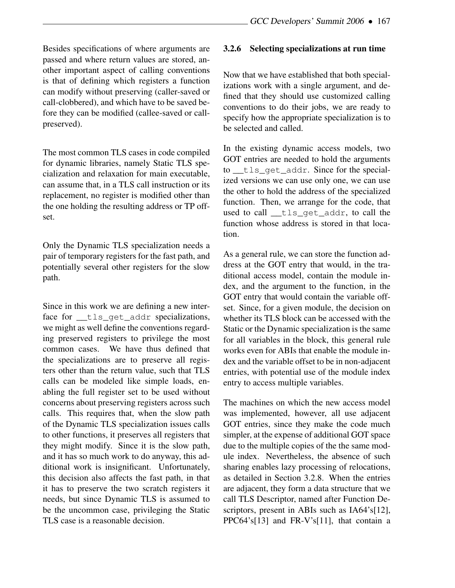Besides specifications of where arguments are passed and where return values are stored, another important aspect of calling conventions is that of defining which registers a function can modify without preserving (caller-saved or call-clobbered), and which have to be saved before they can be modified (callee-saved or callpreserved).

The most common TLS cases in code compiled for dynamic libraries, namely Static TLS specialization and relaxation for main executable, can assume that, in a TLS call instruction or its replacement, no register is modified other than the one holding the resulting address or TP offset.

Only the Dynamic TLS specialization needs a pair of temporary registers for the fast path, and potentially several other registers for the slow path.

Since in this work we are defining a new interface for \_\_tls\_qet\_addr specializations, we might as well define the conventions regarding preserved registers to privilege the most common cases. We have thus defined that the specializations are to preserve all registers other than the return value, such that TLS calls can be modeled like simple loads, enabling the full register set to be used without concerns about preserving registers across such calls. This requires that, when the slow path of the Dynamic TLS specialization issues calls to other functions, it preserves all registers that they might modify. Since it is the slow path, and it has so much work to do anyway, this additional work is insignificant. Unfortunately, this decision also affects the fast path, in that it has to preserve the two scratch registers it needs, but since Dynamic TLS is assumed to be the uncommon case, privileging the Static TLS case is a reasonable decision.

#### 3.2.6 Selecting specializations at run time

Now that we have established that both specializations work with a single argument, and defined that they should use customized calling conventions to do their jobs, we are ready to specify how the appropriate specialization is to be selected and called.

In the existing dynamic access models, two GOT entries are needed to hold the arguments to \_\_tls\_get\_addr. Since for the specialized versions we can use only one, we can use the other to hold the address of the specialized function. Then, we arrange for the code, that used to call tls get addr, to call the function whose address is stored in that location.

As a general rule, we can store the function address at the GOT entry that would, in the traditional access model, contain the module index, and the argument to the function, in the GOT entry that would contain the variable offset. Since, for a given module, the decision on whether its TLS block can be accessed with the Static or the Dynamic specialization is the same for all variables in the block, this general rule works even for ABIs that enable the module index and the variable offset to be in non-adjacent entries, with potential use of the module index entry to access multiple variables.

The machines on which the new access model was implemented, however, all use adjacent GOT entries, since they make the code much simpler, at the expense of additional GOT space due to the multiple copies of the the same module index. Nevertheless, the absence of such sharing enables lazy processing of relocations, as detailed in Section 3.2.8. When the entries are adjacent, they form a data structure that we call TLS Descriptor, named after Function Descriptors, present in ABIs such as IA64's[12], PPC64's[13] and FR-V's[11], that contain a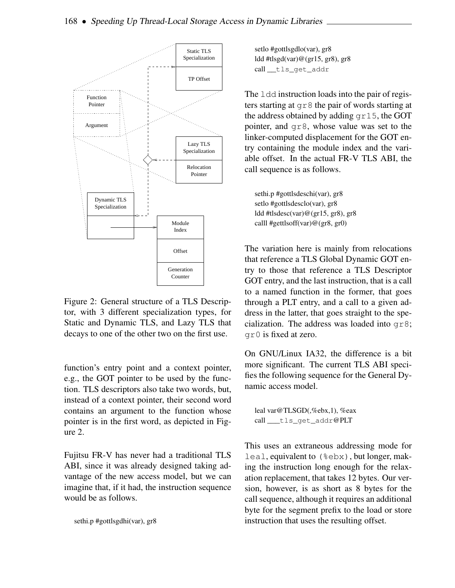

Figure 2: General structure of a TLS Descriptor, with 3 different specialization types, for Static and Dynamic TLS, and Lazy TLS that decays to one of the other two on the first use.

function's entry point and a context pointer, e.g., the GOT pointer to be used by the function. TLS descriptors also take two words, but, instead of a context pointer, their second word contains an argument to the function whose pointer is in the first word, as depicted in Figure 2.

Fujitsu FR-V has never had a traditional TLS ABI, since it was already designed taking advantage of the new access model, but we can imagine that, if it had, the instruction sequence would be as follows.

sethi.p #gottlsgdhi(var), gr8

setlo #gottlsgdlo(var), gr8 ldd #tlsgd(var)@(gr15, gr8), gr8 call \_\_tls\_get\_addr

The 1dd instruction loads into the pair of registers starting at gr8 the pair of words starting at the address obtained by adding gr15, the GOT pointer, and gr8, whose value was set to the linker-computed displacement for the GOT entry containing the module index and the variable offset. In the actual FR-V TLS ABI, the call sequence is as follows.

sethi.p #gottlsdeschi(var), gr8 setlo #gottlsdesclo(var), gr8 ldd #tlsdesc(var)@(gr15, gr8), gr8 calll #gettlsoff(var)@(gr8, gr0)

The variation here is mainly from relocations that reference a TLS Global Dynamic GOT entry to those that reference a TLS Descriptor GOT entry, and the last instruction, that is a call to a named function in the former, that goes through a PLT entry, and a call to a given address in the latter, that goes straight to the specialization. The address was loaded into gr8; gr0 is fixed at zero.

On GNU/Linux IA32, the difference is a bit more significant. The current TLS ABI specifies the following sequence for the General Dynamic access model.

```
leal var@TLSGD(,%ebx,1), %eax
call ___tls_get_addr@PLT
```
This uses an extraneous addressing mode for leal, equivalent to (%ebx), but longer, making the instruction long enough for the relaxation replacement, that takes 12 bytes. Our version, however, is as short as 8 bytes for the call sequence, although it requires an additional byte for the segment prefix to the load or store instruction that uses the resulting offset.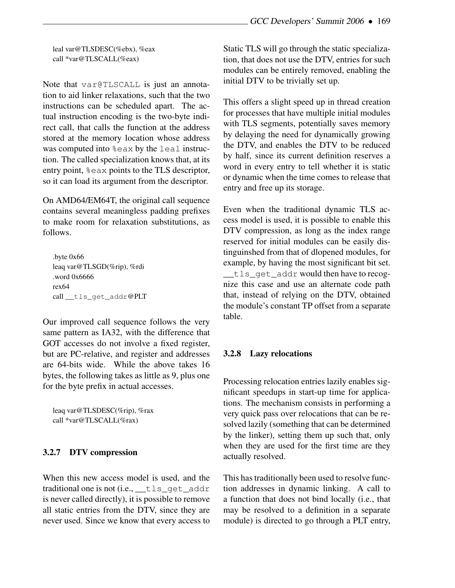leal var@TLSDESC(%ebx), %eax call \*var@TLSCALL(%eax)

Note that var@TLSCALL is just an annotation to aid linker relaxations, such that the two instructions can be scheduled apart. The actual instruction encoding is the two-byte indirect call, that calls the function at the address stored at the memory location whose address was computed into  $\frac{1}{2}$ eax by the leal instruction. The called specialization knows that, at its entry point, %eax points to the TLS descriptor, so it can load its argument from the descriptor.

On AMD64/EM64T, the original call sequence contains several meaningless padding prefixes to make room for relaxation substitutions, as follows.

.byte 0x66 leaq var@TLSGD(%rip), %rdi .word 0x6666 rex64 call \_\_tls\_get\_addr@PLT

Our improved call sequence follows the very same pattern as IA32, with the difference that GOT accesses do not involve a fixed register, but are PC-relative, and register and addresses are 64-bits wide. While the above takes 16 bytes, the following takes as little as 9, plus one for the byte prefix in actual accesses.

leaq var@TLSDESC(%rip), %rax call \*var@TLSCALL(%rax)

#### 3.2.7 DTV compression

When this new access model is used, and the traditional one is not (i.e., \_\_tls\_get\_addr is never called directly), it is possible to remove all static entries from the DTV, since they are never used. Since we know that every access to

Static TLS will go through the static specialization, that does not use the DTV, entries for such modules can be entirely removed, enabling the initial DTV to be trivially set up.

This offers a slight speed up in thread creation for processes that have multiple initial modules with TLS segments, potentially saves memory by delaying the need for dynamically growing the DTV, and enables the DTV to be reduced by half, since its current definition reserves a word in every entry to tell whether it is static or dynamic when the time comes to release that entry and free up its storage.

Even when the traditional dynamic TLS access model is used, it is possible to enable this DTV compression, as long as the index range reserved for initial modules can be easily distinguinshed from that of dlopened modules, for example, by having the most significant bit set. \_\_tls\_get\_addr would then have to recognize this case and use an alternate code path that, instead of relying on the DTV, obtained the module's constant TP offset from a separate table.

#### 3.2.8 Lazy relocations

Processing relocation entries lazily enables significant speedups in start-up time for applications. The mechanism consists in performing a very quick pass over relocations that can be resolved lazily (something that can be determined by the linker), setting them up such that, only when they are used for the first time are they actually resolved.

This hastraditionally been used to resolve function addresses in dynamic linking. A call to a function that does not bind locally (i.e., that may be resolved to a definition in a separate module) is directed to go through a PLT entry,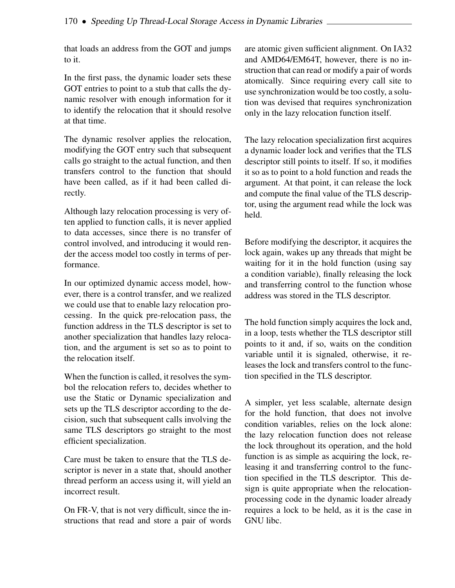that loads an address from the GOT and jumps to it.

In the first pass, the dynamic loader sets these GOT entries to point to a stub that calls the dynamic resolver with enough information for it to identify the relocation that it should resolve at that time.

The dynamic resolver applies the relocation, modifying the GOT entry such that subsequent calls go straight to the actual function, and then transfers control to the function that should have been called, as if it had been called directly.

Although lazy relocation processing is very often applied to function calls, it is never applied to data accesses, since there is no transfer of control involved, and introducing it would render the access model too costly in terms of performance.

In our optimized dynamic access model, however, there is a control transfer, and we realized we could use that to enable lazy relocation processing. In the quick pre-relocation pass, the function address in the TLS descriptor is set to another specialization that handles lazy relocation, and the argument is set so as to point to the relocation itself.

When the function is called, it resolves the symbol the relocation refers to, decides whether to use the Static or Dynamic specialization and sets up the TLS descriptor according to the decision, such that subsequent calls involving the same TLS descriptors go straight to the most efficient specialization.

Care must be taken to ensure that the TLS descriptor is never in a state that, should another thread perform an access using it, will yield an incorrect result.

On FR-V, that is not very difficult, since the instructions that read and store a pair of words are atomic given sufficient alignment. On IA32 and AMD64/EM64T, however, there is no instruction that can read or modify a pair of words atomically. Since requiring every call site to use synchronization would be too costly, a solution was devised that requires synchronization only in the lazy relocation function itself.

The lazy relocation specialization first acquires a dynamic loader lock and verifies that the TLS descriptor still points to itself. If so, it modifies it so as to point to a hold function and reads the argument. At that point, it can release the lock and compute the final value of the TLS descriptor, using the argument read while the lock was held.

Before modifying the descriptor, it acquires the lock again, wakes up any threads that might be waiting for it in the hold function (using say a condition variable), finally releasing the lock and transferring control to the function whose address was stored in the TLS descriptor.

The hold function simply acquires the lock and, in a loop, tests whether the TLS descriptor still points to it and, if so, waits on the condition variable until it is signaled, otherwise, it releases the lock and transfers control to the function specified in the TLS descriptor.

A simpler, yet less scalable, alternate design for the hold function, that does not involve condition variables, relies on the lock alone: the lazy relocation function does not release the lock throughout its operation, and the hold function is as simple as acquiring the lock, releasing it and transferring control to the function specified in the TLS descriptor. This design is quite appropriate when the relocationprocessing code in the dynamic loader already requires a lock to be held, as it is the case in GNU libc.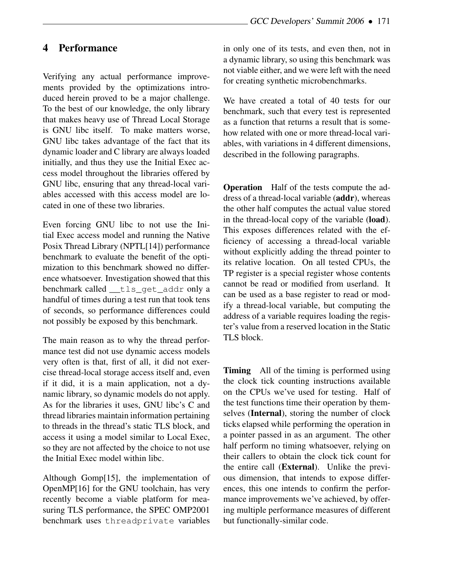# 4 Performance

Verifying any actual performance improvements provided by the optimizations introduced herein proved to be a major challenge. To the best of our knowledge, the only library that makes heavy use of Thread Local Storage is GNU libc itself. To make matters worse, GNU libc takes advantage of the fact that its dynamic loader and C library are always loaded initially, and thus they use the Initial Exec access model throughout the libraries offered by GNU libc, ensuring that any thread-local variables accessed with this access model are located in one of these two libraries.

Even forcing GNU libc to not use the Initial Exec access model and running the Native Posix Thread Library (NPTL[14]) performance benchmark to evaluate the benefit of the optimization to this benchmark showed no difference whatsoever. Investigation showed that this benchmark called \_\_tls\_get\_addr only a handful of times during a test run that took tens of seconds, so performance differences could not possibly be exposed by this benchmark.

The main reason as to why the thread performance test did not use dynamic access models very often is that, first of all, it did not exercise thread-local storage access itself and, even if it did, it is a main application, not a dynamic library, so dynamic models do not apply. As for the libraries it uses, GNU libc's C and thread libraries maintain information pertaining to threads in the thread's static TLS block, and access it using a model similar to Local Exec, so they are not affected by the choice to not use the Initial Exec model within libc.

Although Gomp[15], the implementation of OpenMP[16] for the GNU toolchain, has very recently become a viable platform for measuring TLS performance, the SPEC OMP2001 benchmark uses threadprivate variables

in only one of its tests, and even then, not in a dynamic library, so using this benchmark was not viable either, and we were left with the need for creating synthetic microbenchmarks.

We have created a total of 40 tests for our benchmark, such that every test is represented as a function that returns a result that is somehow related with one or more thread-local variables, with variations in 4 different dimensions, described in the following paragraphs.

Operation Half of the tests compute the address of a thread-local variable (addr), whereas the other half computes the actual value stored in the thread-local copy of the variable (load). This exposes differences related with the efficiency of accessing a thread-local variable without explicitly adding the thread pointer to its relative location. On all tested CPUs, the TP register is a special register whose contents cannot be read or modified from userland. It can be used as a base register to read or modify a thread-local variable, but computing the address of a variable requires loading the register's value from a reserved location in the Static TLS block.

**Timing** All of the timing is performed using the clock tick counting instructions available on the CPUs we've used for testing. Half of the test functions time their operation by themselves (Internal), storing the number of clock ticks elapsed while performing the operation in a pointer passed in as an argument. The other half perform no timing whatsoever, relying on their callers to obtain the clock tick count for the entire call (External). Unlike the previous dimension, that intends to expose differences, this one intends to confirm the performance improvements we've achieved, by offering multiple performance measures of different but functionally-similar code.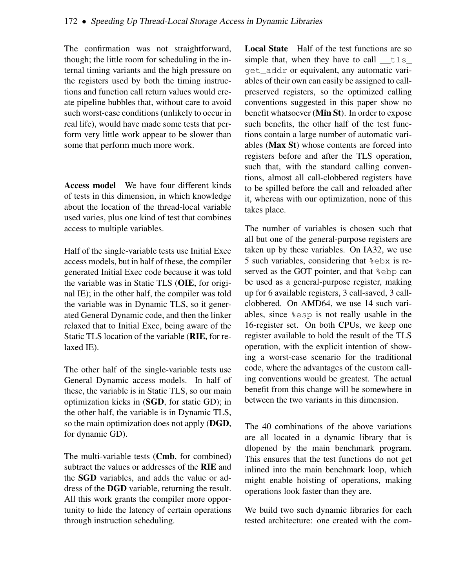The confirmation was not straightforward, though; the little room for scheduling in the internal timing variants and the high pressure on the registers used by both the timing instructions and function call return values would create pipeline bubbles that, without care to avoid such worst-case conditions (unlikely to occur in real life), would have made some tests that perform very little work appear to be slower than some that perform much more work.

Access model We have four different kinds of tests in this dimension, in which knowledge about the location of the thread-local variable used varies, plus one kind of test that combines access to multiple variables.

Half of the single-variable tests use Initial Exec access models, but in half of these, the compiler generated Initial Exec code because it was told the variable was in Static TLS (OIE, for original IE); in the other half, the compiler was told the variable was in Dynamic TLS, so it generated General Dynamic code, and then the linker relaxed that to Initial Exec, being aware of the Static TLS location of the variable (RIE, for relaxed IE).

The other half of the single-variable tests use General Dynamic access models. In half of these, the variable is in Static TLS, so our main optimization kicks in (SGD, for static GD); in the other half, the variable is in Dynamic TLS, so the main optimization does not apply (DGD, for dynamic GD).

The multi-variable tests (Cmb, for combined) subtract the values or addresses of the RIE and the SGD variables, and adds the value or address of the DGD variable, returning the result. All this work grants the compiler more opportunity to hide the latency of certain operations through instruction scheduling.

Local State Half of the test functions are so simple that, when they have to call  $\pm 1$ s get\_addr or equivalent, any automatic variables of their own can easily be assigned to callpreserved registers, so the optimized calling conventions suggested in this paper show no benefit whatsoever (Min St). In order to expose such benefits, the other half of the test functions contain a large number of automatic variables (Max St) whose contents are forced into registers before and after the TLS operation, such that, with the standard calling conventions, almost all call-clobbered registers have to be spilled before the call and reloaded after it, whereas with our optimization, none of this takes place.

The number of variables is chosen such that all but one of the general-purpose registers are taken up by these variables. On IA32, we use 5 such variables, considering that %ebx is reserved as the GOT pointer, and that %ebp can be used as a general-purpose register, making up for 6 available registers, 3 call-saved, 3 callclobbered. On AMD64, we use 14 such variables, since %esp is not really usable in the 16-register set. On both CPUs, we keep one register available to hold the result of the TLS operation, with the explicit intention of showing a worst-case scenario for the traditional code, where the advantages of the custom calling conventions would be greatest. The actual benefit from this change will be somewhere in between the two variants in this dimension.

The 40 combinations of the above variations are all located in a dynamic library that is dlopened by the main benchmark program. This ensures that the test functions do not get inlined into the main benchmark loop, which might enable hoisting of operations, making operations look faster than they are.

We build two such dynamic libraries for each tested architecture: one created with the com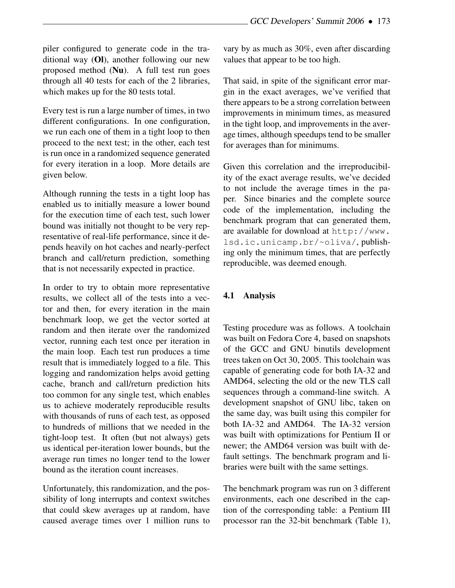piler configured to generate code in the traditional way (Ol), another following our new proposed method (Nu). A full test run goes through all 40 tests for each of the 2 libraries, which makes up for the 80 tests total.

Every test is run a large number of times, in two different configurations. In one configuration, we run each one of them in a tight loop to then proceed to the next test; in the other, each test is run once in a randomized sequence generated for every iteration in a loop. More details are given below.

Although running the tests in a tight loop has enabled us to initially measure a lower bound for the execution time of each test, such lower bound was initially not thought to be very representative of real-life performance, since it depends heavily on hot caches and nearly-perfect branch and call/return prediction, something that is not necessarily expected in practice.

In order to try to obtain more representative results, we collect all of the tests into a vector and then, for every iteration in the main benchmark loop, we get the vector sorted at random and then iterate over the randomized vector, running each test once per iteration in the main loop. Each test run produces a time result that is immediately logged to a file. This logging and randomization helps avoid getting cache, branch and call/return prediction hits too common for any single test, which enables us to achieve moderately reproducible results with thousands of runs of each test, as opposed to hundreds of millions that we needed in the tight-loop test. It often (but not always) gets us identical per-iteration lower bounds, but the average run times no longer tend to the lower bound as the iteration count increases.

Unfortunately, this randomization, and the possibility of long interrupts and context switches that could skew averages up at random, have caused average times over 1 million runs to

vary by as much as 30%, even after discarding values that appear to be too high.

That said, in spite of the significant error margin in the exact averages, we've verified that there appears to be a strong correlation between improvements in minimum times, as measured in the tight loop, and improvements in the average times, although speedups tend to be smaller for averages than for minimums.

Given this correlation and the irreproducibility of the exact average results, we've decided to not include the average times in the paper. Since binaries and the complete source code of the implementation, including the benchmark program that can generated them, are available for download at http://www. lsd.ic.unicamp.br/~oliva/, publishing only the minimum times, that are perfectly reproducible, was deemed enough.

## 4.1 Analysis

Testing procedure was as follows. A toolchain was built on Fedora Core 4, based on snapshots of the GCC and GNU binutils development trees taken on Oct 30, 2005. This toolchain was capable of generating code for both IA-32 and AMD64, selecting the old or the new TLS call sequences through a command-line switch. A development snapshot of GNU libc, taken on the same day, was built using this compiler for both IA-32 and AMD64. The IA-32 version was built with optimizations for Pentium II or newer; the AMD64 version was built with default settings. The benchmark program and libraries were built with the same settings.

The benchmark program was run on 3 different environments, each one described in the caption of the corresponding table: a Pentium III processor ran the 32-bit benchmark (Table 1),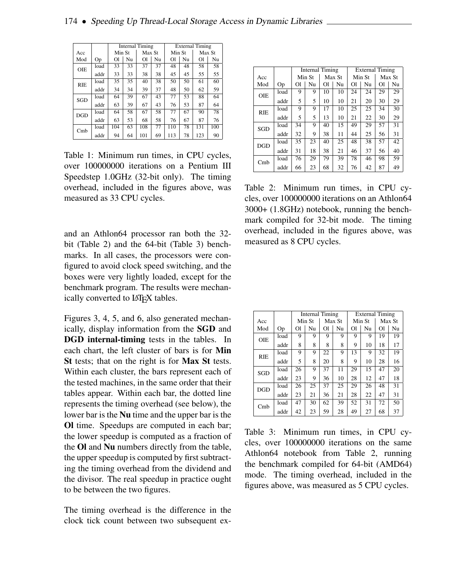|            |      | <b>Internal Timing</b> |    |        |    | <b>External Timing</b> |    |        |     |  |
|------------|------|------------------------|----|--------|----|------------------------|----|--------|-----|--|
| Acc        |      | Min St                 |    | Max St |    | Min St                 |    | Max St |     |  |
| Mod        | Op   | <sup>Ol</sup>          | Nu | O1     | Nu | <sup>Ol</sup>          | Nu | O1     | Nu  |  |
| OIE        | load | 33                     | 33 | 37     | 37 | 48                     | 48 | 58     | 58  |  |
|            | addr | 33                     | 33 | 38     | 38 | 45                     | 45 | 55     | 55  |  |
| <b>RIE</b> | load | 35                     | 35 | 40     | 38 | 50                     | 50 | 61     | 60  |  |
|            | addr | 34                     | 34 | 39     | 37 | 48                     | 50 | 62     | 59  |  |
| SGD        | load | 64                     | 39 | 67     | 43 | 77                     | 53 | 88     | 64  |  |
|            | addr | 63                     | 39 | 67     | 43 | 76                     | 53 | 87     | 64  |  |
| <b>DGD</b> | load | 64                     | 58 | 67     | 58 | 77                     | 67 | 90     | 78  |  |
|            | addr | 63                     | 53 | 68     | 58 | 76                     | 67 | 87     | 76  |  |
| Cmb        | load | 104                    | 63 | 108    | 77 | 110                    | 78 | 131    | 100 |  |
|            | addr | 94                     | 64 | 101    | 69 | 113                    | 78 | 123    | 90  |  |

Table 1: Minimum run times, in CPU cycles, over 100000000 iterations on a Pentium III Speedstep 1.0GHz (32-bit only). The timing overhead, included in the figures above, was measured as 33 CPU cycles.

and an Athlon64 processor ran both the 32 bit (Table 2) and the 64-bit (Table 3) benchmarks. In all cases, the processors were configured to avoid clock speed switching, and the boxes were very lightly loaded, except for the benchmark program. The results were mechanically converted to LAT<sub>EX</sub> tables.

Figures 3, 4, 5, and 6, also generated mechanically, display information from the SGD and DGD internal-timing tests in the tables. In each chart, the left cluster of bars is for Min St tests; that on the right is for Max St tests. Within each cluster, the bars represent each of the tested machines, in the same order that their tables appear. Within each bar, the dotted line represents the timing overhead (see below), the lower bar is the Nu time and the upper bar is the Ol time. Speedups are computed in each bar; the lower speedup is computed as a fraction of the Ol and Nu numbers directly from the table, the upper speedup is computed by first subtracting the timing overhead from the dividend and the divisor. The real speedup in practice ought to be between the two figures.

The timing overhead is the difference in the clock tick count between two subsequent ex-

|            |      | Internal Timing |    |        |    | <b>External Timing</b> |    |                                              |    |
|------------|------|-----------------|----|--------|----|------------------------|----|----------------------------------------------|----|
| Acc        |      | Min St          |    | Max St |    | Min St                 |    | Max St                                       |    |
| Mod        | Op   | $\Omega$        | Nu | O1     | Nu | O1                     | Nu | Ol                                           | Nu |
| OIE        | load | 9               | 9  | 10     | 10 | 24                     | 24 | 29                                           | 29 |
|            | addr | 5               | 5  | 10     | 10 | 21                     | 20 | 30<br>34<br>30<br>57<br>56<br>57<br>56<br>98 | 29 |
| <b>RIE</b> | load | 9               | 9  | 17     | 10 | 25                     | 25 |                                              | 30 |
|            | addr | 5               | 5  | 13     | 10 | 21                     | 22 |                                              | 29 |
| SGD        | load | 34              | 9  | 40     | 15 | 49                     | 29 |                                              | 31 |
|            | addr | 32              | 9  | 38     | 11 | 44                     | 25 |                                              | 31 |
| <b>DGD</b> | load | 35              | 23 | 40     | 25 | 48                     | 38 |                                              | 42 |
|            | addr | 31              | 18 | 38     | 21 | 46                     | 37 |                                              | 40 |
| Cmb        | load | 76              | 29 | 79     | 39 | 78                     | 46 |                                              | 59 |
|            | addr | 66              | 23 | 68     | 32 | 76                     | 42 | 87                                           | 49 |

Table 2: Minimum run times, in CPU cycles, over 100000000 iterations on an Athlon64 3000+ (1.8GHz) notebook, running the benchmark compiled for 32-bit mode. The timing overhead, included in the figures above, was measured as 8 CPU cycles.

|            |      | <b>Internal Timing</b> |        |        |    | <b>External Timing</b> |        |                            |    |
|------------|------|------------------------|--------|--------|----|------------------------|--------|----------------------------|----|
| Acc        |      |                        | Min St | Max St |    |                        | Min St | Max St                     |    |
| Mod        | Op   | O1                     | Nu     | O1     | Nu | O1                     | Nu     | $\Omega$                   | Nu |
| <b>OIE</b> | load | 9                      | 9      | 9      | 9  | 9                      | 9      | 19                         | 19 |
|            | addr | 8                      | 8      | 8      | 8  | 9                      | 10     | 18                         | 17 |
| <b>RIE</b> | load | 9                      | 9      | 22     | 9  | 13                     | 9      | 32                         | 19 |
|            | addr | 5                      | 8      | 20     | 8  | 9                      | 10     | 28<br>15<br>47             | 16 |
| SGD        | load | 26                     | 9      | 37     | 11 | 29                     |        |                            | 20 |
|            | addr | 23                     | 9      | 36     | 10 | 28                     | 12     | 47<br>48<br>47<br>72<br>68 | 18 |
| <b>DGD</b> | load | 26                     | 25     | 37     | 25 | 29                     | 26     |                            | 31 |
|            | addr | 23                     | 21     | 36     | 21 | 28                     | 22     |                            | 31 |
| Cmb        | load | 47                     | 30     | 62     | 39 | 52                     | 31     |                            | 50 |
|            | addr | 42                     | 23     | 59     | 28 | 49                     | 27     |                            | 37 |

Table 3: Minimum run times, in CPU cycles, over 100000000 iterations on the same Athlon64 notebook from Table 2, running the benchmark compiled for 64-bit (AMD64) mode. The timing overhead, included in the figures above, was measured as 5 CPU cycles.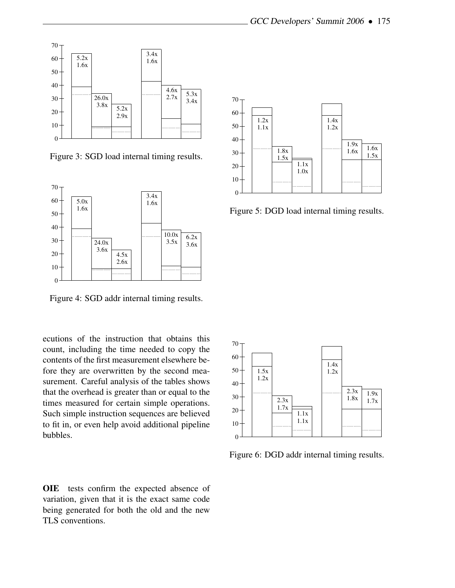

Figure 3: SGD load internal timing results.



Figure 4: SGD addr internal timing results.

ecutions of the instruction that obtains this count, including the time needed to copy the contents of the first measurement elsewhere before they are overwritten by the second measurement. Careful analysis of the tables shows that the overhead is greater than or equal to the times measured for certain simple operations. Such simple instruction sequences are believed to fit in, or even help avoid additional pipeline bubbles.

OIE tests confirm the expected absence of variation, given that it is the exact same code being generated for both the old and the new TLS conventions.



Figure 5: DGD load internal timing results.



Figure 6: DGD addr internal timing results.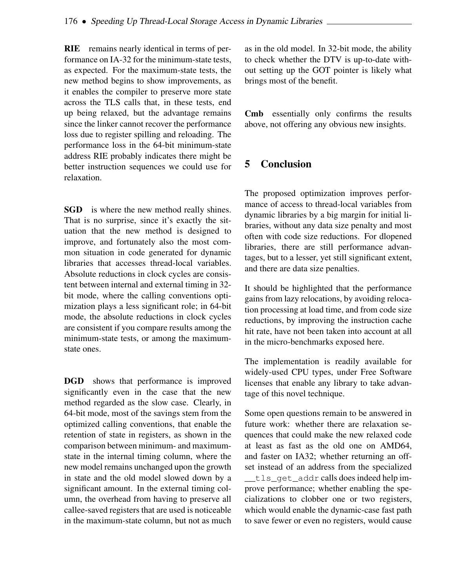RIE remains nearly identical in terms of performance on IA-32 for the minimum-state tests, as expected. For the maximum-state tests, the new method begins to show improvements, as it enables the compiler to preserve more state across the TLS calls that, in these tests, end up being relaxed, but the advantage remains since the linker cannot recover the performance loss due to register spilling and reloading. The performance loss in the 64-bit minimum-state address RIE probably indicates there might be better instruction sequences we could use for relaxation.

**SGD** is where the new method really shines. That is no surprise, since it's exactly the situation that the new method is designed to improve, and fortunately also the most common situation in code generated for dynamic libraries that accesses thread-local variables. Absolute reductions in clock cycles are consistent between internal and external timing in 32 bit mode, where the calling conventions optimization plays a less significant role; in 64-bit mode, the absolute reductions in clock cycles are consistent if you compare results among the minimum-state tests, or among the maximumstate ones.

DGD shows that performance is improved significantly even in the case that the new method regarded as the slow case. Clearly, in 64-bit mode, most of the savings stem from the optimized calling conventions, that enable the retention of state in registers, as shown in the comparison between minimum- and maximumstate in the internal timing column, where the new model remains unchanged upon the growth in state and the old model slowed down by a significant amount. In the external timing column, the overhead from having to preserve all callee-saved registers that are used is noticeable in the maximum-state column, but not as much

as in the old model. In 32-bit mode, the ability to check whether the DTV is up-to-date without setting up the GOT pointer is likely what brings most of the benefit.

Cmb essentially only confirms the results above, not offering any obvious new insights.

# 5 Conclusion

The proposed optimization improves performance of access to thread-local variables from dynamic libraries by a big margin for initial libraries, without any data size penalty and most often with code size reductions. For dlopened libraries, there are still performance advantages, but to a lesser, yet still significant extent, and there are data size penalties.

It should be highlighted that the performance gains from lazy relocations, by avoiding relocation processing at load time, and from code size reductions, by improving the instruction cache hit rate, have not been taken into account at all in the micro-benchmarks exposed here.

The implementation is readily available for widely-used CPU types, under Free Software licenses that enable any library to take advantage of this novel technique.

Some open questions remain to be answered in future work: whether there are relaxation sequences that could make the new relaxed code at least as fast as the old one on AMD64, and faster on IA32; whether returning an offset instead of an address from the specialized \_\_tls\_get\_addr calls does indeed help improve performance; whether enabling the specializations to clobber one or two registers, which would enable the dynamic-case fast path to save fewer or even no registers, would cause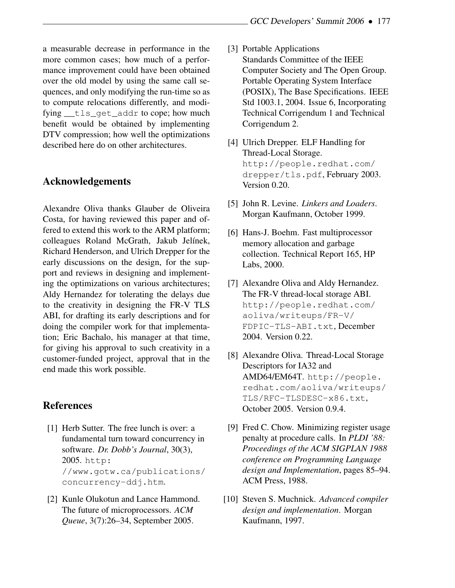a measurable decrease in performance in the more common cases; how much of a performance improvement could have been obtained over the old model by using the same call sequences, and only modifying the run-time so as to compute relocations differently, and modifying \_\_tls\_get\_addr to cope; how much benefit would be obtained by implementing DTV compression; how well the optimizations described here do on other architectures.

## Acknowledgements

Alexandre Oliva thanks Glauber de Oliveira Costa, for having reviewed this paper and offered to extend this work to the ARM platform; colleagues Roland McGrath, Jakub Jelínek, Richard Henderson, and Ulrich Drepper for the early discussions on the design, for the support and reviews in designing and implementing the optimizations on various architectures; Aldy Hernandez for tolerating the delays due to the creativity in designing the FR-V TLS ABI, for drafting its early descriptions and for doing the compiler work for that implementation; Eric Bachalo, his manager at that time, for giving his approval to such creativity in a customer-funded project, approval that in the end made this work possible.

#### References

- [1] Herb Sutter. The free lunch is over: a fundamental turn toward concurrency in software. *Dr. Dobb's Journal*, 30(3), 2005. http: //www.gotw.ca/publications/ concurrency-ddj.htm.
- [2] Kunle Olukotun and Lance Hammond. The future of microprocessors. *ACM Queue*, 3(7):26–34, September 2005.
- [3] Portable Applications Standards Committee of the IEEE Computer Society and The Open Group. Portable Operating System Interface (POSIX), The Base Specifications. IEEE Std 1003.1, 2004. Issue 6, Incorporating Technical Corrigendum 1 and Technical Corrigendum 2.
- [4] Ulrich Drepper. ELF Handling for Thread-Local Storage. http://people.redhat.com/ drepper/tls.pdf, February 2003. Version 0.20.
- [5] John R. Levine. *Linkers and Loaders*. Morgan Kaufmann, October 1999.
- [6] Hans-J. Boehm. Fast multiprocessor memory allocation and garbage collection. Technical Report 165, HP Labs, 2000.
- [7] Alexandre Oliva and Aldy Hernandez. The FR-V thread-local storage ABI. http://people.redhat.com/ aoliva/writeups/FR-V/ FDPIC-TLS-ABI.txt, December 2004. Version 0.22.
- [8] Alexandre Oliva. Thread-Local Storage Descriptors for IA32 and AMD64/EM64T. http://people. redhat.com/aoliva/writeups/ TLS/RFC-TLSDESC-x86.txt, October 2005. Version 0.9.4.
- [9] Fred C. Chow. Minimizing register usage penalty at procedure calls. In *PLDI '88: Proceedings of the ACM SIGPLAN 1988 conference on Programming Language design and Implementation*, pages 85–94. ACM Press, 1988.
- [10] Steven S. Muchnick. *Advanced compiler design and implementation*. Morgan Kaufmann, 1997.